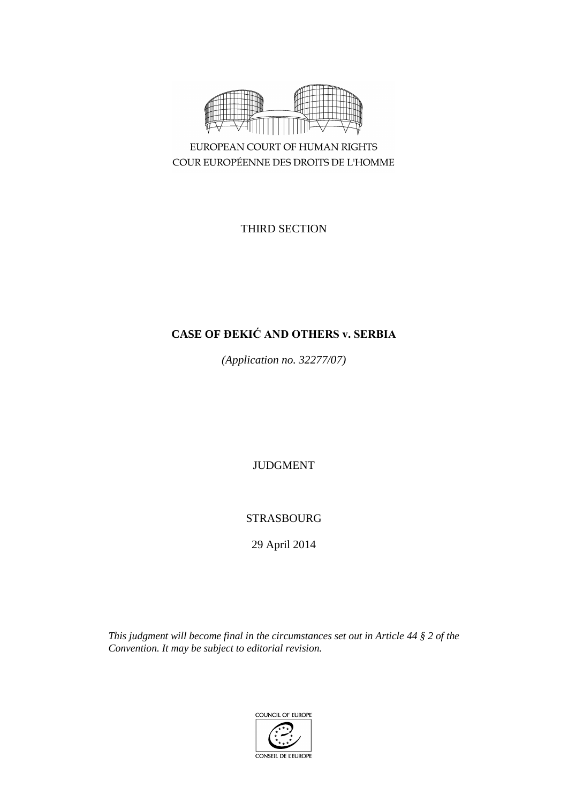

EUROPEAN COURT OF HUMAN RIGHTS COUR EUROPÉENNE DES DROITS DE L'HOMME

THIRD SECTION

# **CASE OF ĐEKIĆ AND OTHERS v. SERBIA**

*(Application no. 32277/07)*

JUDGMENT

STRASBOURG

29 April 2014

*This judgment will become final in the circumstances set out in Article 44 § 2 of the Convention. It may be subject to editorial revision.*

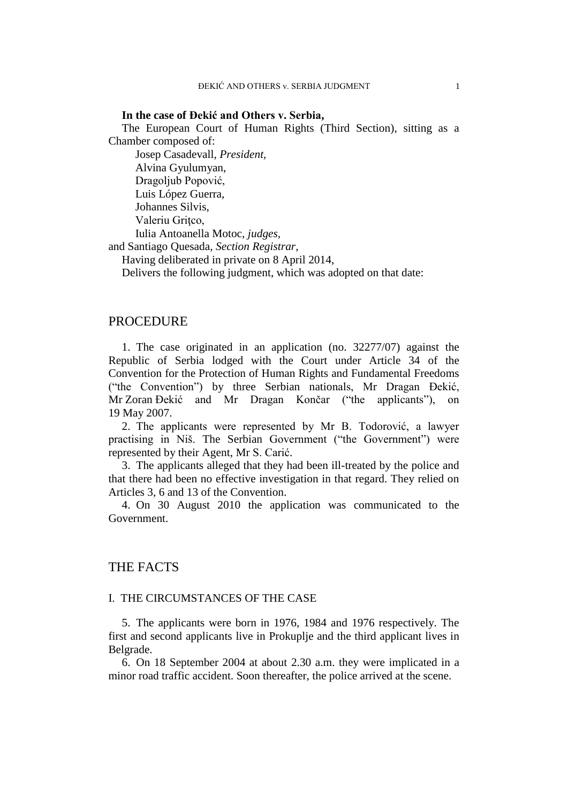#### **In the case of Đekić and Others v. Serbia,**

The European Court of Human Rights (Third Section), sitting as a Chamber composed of:

Josep Casadevall, *President,* Alvina Gyulumyan, Dragoljub Popović, Luis López Guerra, Johannes Silvis, Valeriu Gritco, Iulia Antoanella Motoc, *judges,*

and Santiago Quesada, *Section Registrar,*

Having deliberated in private on 8 April 2014,

Delivers the following judgment, which was adopted on that date:

# PROCEDURE

1. The case originated in an application (no. 32277/07) against the Republic of Serbia lodged with the Court under Article 34 of the Convention for the Protection of Human Rights and Fundamental Freedoms ("the Convention") by three Serbian nationals, Mr Dragan Đekić, Mr Zoran Đekić and Mr Dragan Končar ("the applicants"), on 19 May 2007.

2. The applicants were represented by Mr B. Todorović, a lawyer practising in Niš. The Serbian Government ("the Government") were represented by their Agent, Mr S. Carić.

3. The applicants alleged that they had been ill-treated by the police and that there had been no effective investigation in that regard. They relied on Articles 3, 6 and 13 of the Convention.

4. On 30 August 2010 the application was communicated to the Government.

# THE FACTS

#### I. THE CIRCUMSTANCES OF THE CASE

5. The applicants were born in 1976, 1984 and 1976 respectively. The first and second applicants live in Prokuplje and the third applicant lives in Belgrade.

6. On 18 September 2004 at about 2.30 a.m. they were implicated in a minor road traffic accident. Soon thereafter, the police arrived at the scene.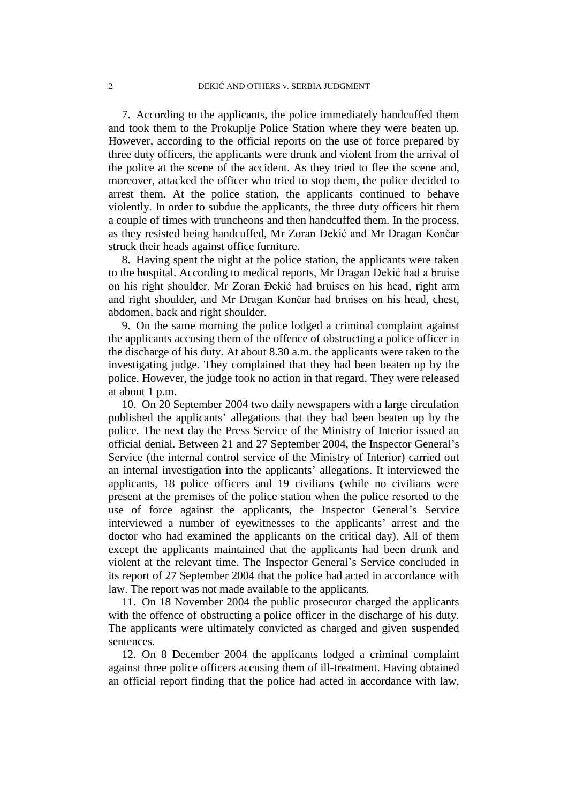7. According to the applicants, the police immediately handcuffed them and took them to the Prokuplje Police Station where they were beaten up. However, according to the official reports on the use of force prepared by three duty officers, the applicants were drunk and violent from the arrival of the police at the scene of the accident. As they tried to flee the scene and, moreover, attacked the officer who tried to stop them, the police decided to arrest them. At the police station, the applicants continued to behave violently. In order to subdue the applicants, the three duty officers hit them a couple of times with truncheons and then handcuffed them. In the process, as they resisted being handcuffed, Mr Zoran Đekić and Mr Dragan Končar struck their heads against office furniture.

8. Having spent the night at the police station, the applicants were taken to the hospital. According to medical reports, Mr Dragan Đekić had a bruise on his right shoulder, Mr Zoran Đekić had bruises on his head, right arm and right shoulder, and Mr Dragan Končar had bruises on his head, chest, abdomen, back and right shoulder.

9. On the same morning the police lodged a criminal complaint against the applicants accusing them of the offence of obstructing a police officer in the discharge of his duty. At about 8.30 a.m. the applicants were taken to the investigating judge. They complained that they had been beaten up by the police. However, the judge took no action in that regard. They were released at about 1 p.m.

10. On 20 September 2004 two daily newspapers with a large circulation published the applicants' allegations that they had been beaten up by the police. The next day the Press Service of the Ministry of Interior issued an official denial. Between 21 and 27 September 2004, the Inspector General's Service (the internal control service of the Ministry of Interior) carried out an internal investigation into the applicants' allegations. It interviewed the applicants, 18 police officers and 19 civilians (while no civilians were present at the premises of the police station when the police resorted to the use of force against the applicants, the Inspector General's Service interviewed a number of eyewitnesses to the applicants' arrest and the doctor who had examined the applicants on the critical day). All of them except the applicants maintained that the applicants had been drunk and violent at the relevant time. The Inspector General's Service concluded in its report of 27 September 2004 that the police had acted in accordance with law. The report was not made available to the applicants.

11. On 18 November 2004 the public prosecutor charged the applicants with the offence of obstructing a police officer in the discharge of his duty. The applicants were ultimately convicted as charged and given suspended sentences.

12. On 8 December 2004 the applicants lodged a criminal complaint against three police officers accusing them of ill-treatment. Having obtained an official report finding that the police had acted in accordance with law,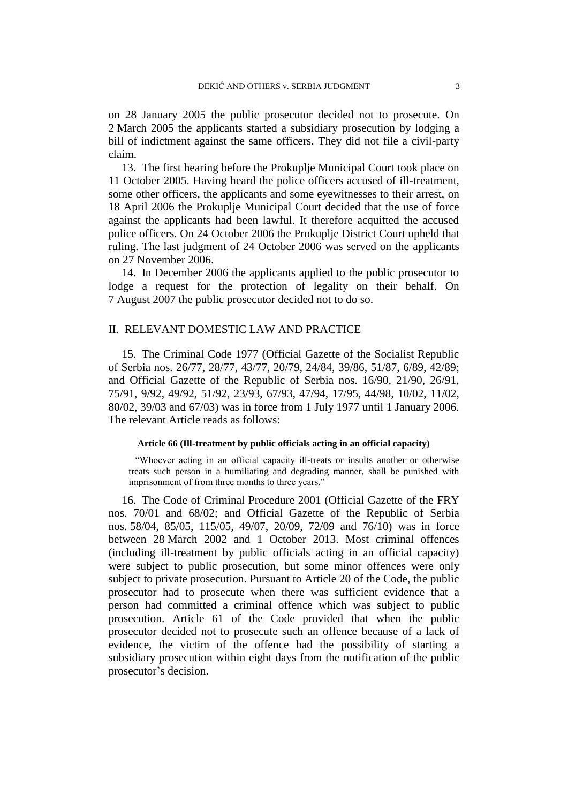on 28 January 2005 the public prosecutor decided not to prosecute. On 2 March 2005 the applicants started a subsidiary prosecution by lodging a bill of indictment against the same officers. They did not file a civil-party claim.

13. The first hearing before the Prokuplje Municipal Court took place on 11 October 2005. Having heard the police officers accused of ill-treatment, some other officers, the applicants and some eyewitnesses to their arrest, on 18 April 2006 the Prokuplje Municipal Court decided that the use of force against the applicants had been lawful. It therefore acquitted the accused police officers. On 24 October 2006 the Prokuplje District Court upheld that ruling. The last judgment of 24 October 2006 was served on the applicants on 27 November 2006.

14. In December 2006 the applicants applied to the public prosecutor to lodge a request for the protection of legality on their behalf. On 7 August 2007 the public prosecutor decided not to do so.

# II. RELEVANT DOMESTIC LAW AND PRACTICE

15. The Criminal Code 1977 (Official Gazette of the Socialist Republic of Serbia nos. 26/77, 28/77, 43/77, 20/79, 24/84, 39/86, 51/87, 6/89, 42/89; and Official Gazette of the Republic of Serbia nos. 16/90, 21/90, 26/91, 75/91, 9/92, 49/92, 51/92, 23/93, 67/93, 47/94, 17/95, 44/98, 10/02, 11/02, 80/02, 39/03 and 67/03) was in force from 1 July 1977 until 1 January 2006. The relevant Article reads as follows:

#### **Article 66 (Ill-treatment by public officials acting in an official capacity)**

"Whoever acting in an official capacity ill-treats or insults another or otherwise treats such person in a humiliating and degrading manner, shall be punished with imprisonment of from three months to three years."

16. The Code of Criminal Procedure 2001 (Official Gazette of the FRY nos. 70/01 and 68/02; and Official Gazette of the Republic of Serbia nos. 58/04, 85/05, 115/05, 49/07, 20/09, 72/09 and 76/10) was in force between 28 March 2002 and 1 October 2013. Most criminal offences (including ill-treatment by public officials acting in an official capacity) were subject to public prosecution, but some minor offences were only subject to private prosecution. Pursuant to Article 20 of the Code, the public prosecutor had to prosecute when there was sufficient evidence that a person had committed a criminal offence which was subject to public prosecution. Article 61 of the Code provided that when the public prosecutor decided not to prosecute such an offence because of a lack of evidence, the victim of the offence had the possibility of starting a subsidiary prosecution within eight days from the notification of the public prosecutor's decision.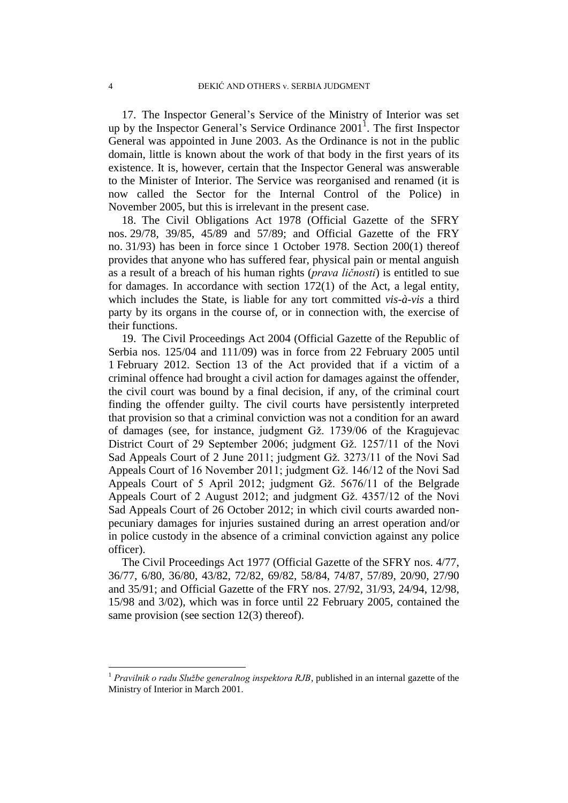17. The Inspector General's Service of the Ministry of Interior was set up by the Inspector General's Service Ordinance  $2001<sup>1</sup>$ . The first Inspector General was appointed in June 2003. As the Ordinance is not in the public domain, little is known about the work of that body in the first years of its existence. It is, however, certain that the Inspector General was answerable to the Minister of Interior. The Service was reorganised and renamed (it is now called the Sector for the Internal Control of the Police) in November 2005, but this is irrelevant in the present case.

18. The Civil Obligations Act 1978 (Official Gazette of the SFRY nos. 29/78, 39/85, 45/89 and 57/89; and Official Gazette of the FRY no. 31/93) has been in force since 1 October 1978. Section 200(1) thereof provides that anyone who has suffered fear, physical pain or mental anguish as a result of a breach of his human rights (*prava ličnosti*) is entitled to sue for damages. In accordance with section 172(1) of the Act, a legal entity, which includes the State, is liable for any tort committed *vis-à-vis* a third party by its organs in the course of, or in connection with, the exercise of their functions.

<span id="page-5-0"></span>19. The Civil Proceedings Act 2004 (Official Gazette of the Republic of Serbia nos. 125/04 and 111/09) was in force from 22 February 2005 until 1 February 2012. Section 13 of the Act provided that if a victim of a criminal offence had brought a civil action for damages against the offender, the civil court was bound by a final decision, if any, of the criminal court finding the offender guilty. The civil courts have persistently interpreted that provision so that a criminal conviction was not a condition for an award of damages (see, for instance, judgment Gž. 1739/06 of the Kragujevac District Court of 29 September 2006; judgment Gž. 1257/11 of the Novi Sad Appeals Court of 2 June 2011; judgment Gž. 3273/11 of the Novi Sad Appeals Court of 16 November 2011; judgment Gž. 146/12 of the Novi Sad Appeals Court of 5 April 2012; judgment Gž. 5676/11 of the Belgrade Appeals Court of 2 August 2012; and judgment Gž. 4357/12 of the Novi Sad Appeals Court of 26 October 2012; in which civil courts awarded nonpecuniary damages for injuries sustained during an arrest operation and/or in police custody in the absence of a criminal conviction against any police officer).

The Civil Proceedings Act 1977 (Official Gazette of the SFRY nos. 4/77, 36/77, 6/80, 36/80, 43/82, 72/82, 69/82, 58/84, 74/87, 57/89, 20/90, 27/90 and 35/91; and Official Gazette of the FRY nos. 27/92, 31/93, 24/94, 12/98, 15/98 and 3/02), which was in force until 22 February 2005, contained the same provision (see section 12(3) thereof).

1

<sup>&</sup>lt;sup>1</sup> Pravilnik o radu Službe generalnog inspektora RJB, published in an internal gazette of the Ministry of Interior in March 2001.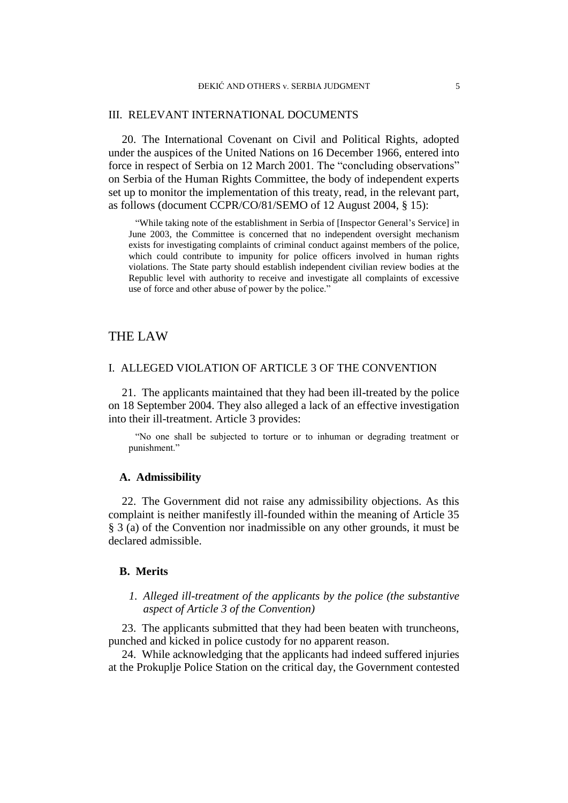## III. RELEVANT INTERNATIONAL DOCUMENTS

20. The International Covenant on Civil and Political Rights, adopted under the auspices of the United Nations on 16 December 1966, entered into force in respect of Serbia on 12 March 2001. The "concluding observations" on Serbia of the Human Rights Committee, the body of independent experts set up to monitor the implementation of this treaty, read, in the relevant part, as follows (document CCPR/CO/81/SEMO of 12 August 2004, § 15):

"While taking note of the establishment in Serbia of [Inspector General's Service] in June 2003, the Committee is concerned that no independent oversight mechanism exists for investigating complaints of criminal conduct against members of the police, which could contribute to impunity for police officers involved in human rights violations. The State party should establish independent civilian review bodies at the Republic level with authority to receive and investigate all complaints of excessive use of force and other abuse of power by the police."

# THE LAW

## I. ALLEGED VIOLATION OF ARTICLE 3 OF THE CONVENTION

21. The applicants maintained that they had been ill-treated by the police on 18 September 2004. They also alleged a lack of an effective investigation into their ill-treatment. Article 3 provides:

"No one shall be subjected to torture or to inhuman or degrading treatment or punishment."

#### **A. Admissibility**

22. The Government did not raise any admissibility objections. As this complaint is neither manifestly ill-founded within the meaning of Article 35 § 3 (a) of the Convention nor inadmissible on any other grounds, it must be declared admissible.

## **B. Merits**

## *1. Alleged ill-treatment of the applicants by the police (the substantive aspect of Article 3 of the Convention)*

23. The applicants submitted that they had been beaten with truncheons, punched and kicked in police custody for no apparent reason.

24. While acknowledging that the applicants had indeed suffered injuries at the Prokuplje Police Station on the critical day, the Government contested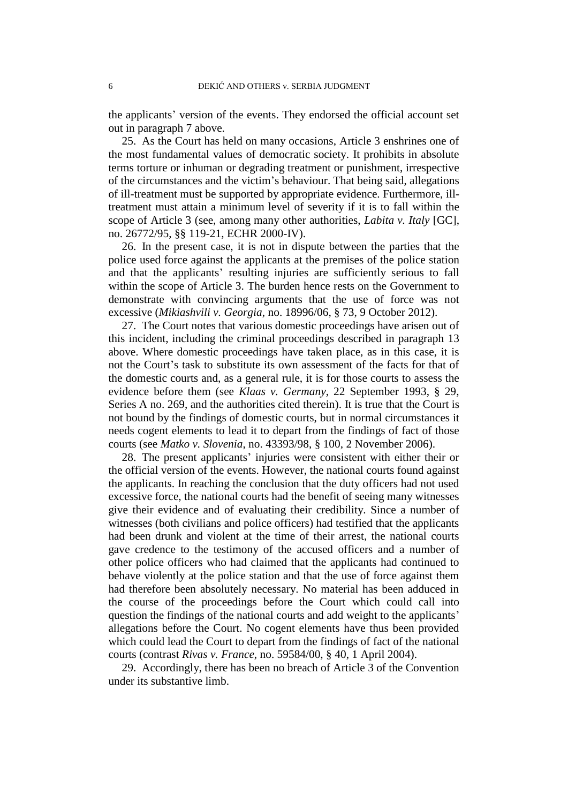the applicants' version of the events. They endorsed the official account set out in paragraph 7 above.

25. As the Court has held on many occasions, Article 3 enshrines one of the most fundamental values of democratic society. It prohibits in absolute terms torture or inhuman or degrading treatment or punishment, irrespective of the circumstances and the victim's behaviour. That being said, allegations of ill-treatment must be supported by appropriate evidence. Furthermore, illtreatment must attain a minimum level of severity if it is to fall within the scope of Article 3 (see, among many other authorities, *Labita v. Italy* [GC], no. 26772/95, §§ 119-21, ECHR 2000-IV).

26. In the present case, it is not in dispute between the parties that the police used force against the applicants at the premises of the police station and that the applicants' resulting injuries are sufficiently serious to fall within the scope of Article 3. The burden hence rests on the Government to demonstrate with convincing arguments that the use of force was not excessive (*Mikiashvili v. Georgia*, no. 18996/06, § 73, 9 October 2012).

27. The Court notes that various domestic proceedings have arisen out of this incident, including the criminal proceedings described in paragraph 13 above. Where domestic proceedings have taken place, as in this case, it is not the Court's task to substitute its own assessment of the facts for that of the domestic courts and, as a general rule, it is for those courts to assess the evidence before them (see *Klaas v. Germany*, 22 September 1993, § 29, Series A no. 269, and the authorities cited therein). It is true that the Court is not bound by the findings of domestic courts, but in normal circumstances it needs cogent elements to lead it to depart from the findings of fact of those courts (see *Matko v. Slovenia*, no. 43393/98, § 100, 2 November 2006).

<span id="page-7-0"></span>28. The present applicants' injuries were consistent with either their or the official version of the events. However, the national courts found against the applicants. In reaching the conclusion that the duty officers had not used excessive force, the national courts had the benefit of seeing many witnesses give their evidence and of evaluating their credibility. Since a number of witnesses (both civilians and police officers) had testified that the applicants had been drunk and violent at the time of their arrest, the national courts gave credence to the testimony of the accused officers and a number of other police officers who had claimed that the applicants had continued to behave violently at the police station and that the use of force against them had therefore been absolutely necessary. No material has been adduced in the course of the proceedings before the Court which could call into question the findings of the national courts and add weight to the applicants' allegations before the Court. No cogent elements have thus been provided which could lead the Court to depart from the findings of fact of the national courts (contrast *Rivas v. France*, no. 59584/00, § 40, 1 April 2004).

29. Accordingly, there has been no breach of Article 3 of the Convention under its substantive limb.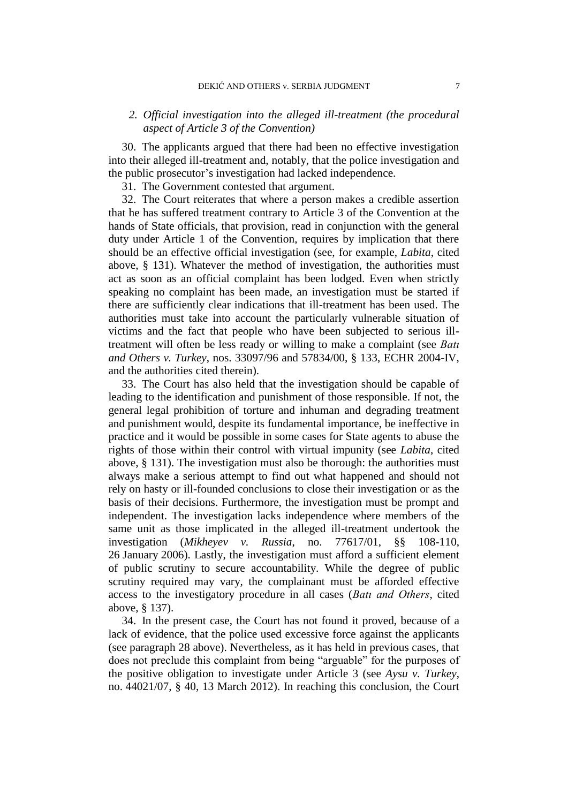## *2. Official investigation into the alleged ill-treatment (the procedural aspect of Article 3 of the Convention)*

30. The applicants argued that there had been no effective investigation into their alleged ill-treatment and, notably, that the police investigation and the public prosecutor's investigation had lacked independence.

31. The Government contested that argument.

32. The Court reiterates that where a person makes a credible assertion that he has suffered treatment contrary to Article 3 of the Convention at the hands of State officials, that provision, read in conjunction with the general duty under Article 1 of the Convention, requires by implication that there should be an effective official investigation (see, for example, *Labita*, cited above, § 131). Whatever the method of investigation, the authorities must act as soon as an official complaint has been lodged. Even when strictly speaking no complaint has been made, an investigation must be started if there are sufficiently clear indications that ill-treatment has been used. The authorities must take into account the particularly vulnerable situation of victims and the fact that people who have been subjected to serious illtreatment will often be less ready or willing to make a complaint (see *Batı and Others v. Turkey*, nos. 33097/96 and 57834/00, § 133, ECHR 2004-IV, and the authorities cited therein).

33. The Court has also held that the investigation should be capable of leading to the identification and punishment of those responsible. If not, the general legal prohibition of torture and inhuman and degrading treatment and punishment would, despite its fundamental importance, be ineffective in practice and it would be possible in some cases for State agents to abuse the rights of those within their control with virtual impunity (see *Labita*, cited above, § 131). The investigation must also be thorough: the authorities must always make a serious attempt to find out what happened and should not rely on hasty or ill-founded conclusions to close their investigation or as the basis of their decisions. Furthermore, the investigation must be prompt and independent. The investigation lacks independence where members of the same unit as those implicated in the alleged ill-treatment undertook the investigation (*Mikheyev v. Russia*, no. 77617/01, §§ 108-110, 26 January 2006). Lastly, the investigation must afford a sufficient element of public scrutiny to secure accountability. While the degree of public scrutiny required may vary, the complainant must be afforded effective access to the investigatory procedure in all cases (*Batı and Others*, cited above, § 137).

<span id="page-8-0"></span>34. In the present case, the Court has not found it proved, because of a lack of evidence, that the police used excessive force against the applicants (see paragraph [28](#page-7-0) above). Nevertheless, as it has held in previous cases, that does not preclude this complaint from being "arguable" for the purposes of the positive obligation to investigate under Article 3 (see *Aysu v. Turkey*, no. 44021/07, § 40, 13 March 2012). In reaching this conclusion, the Court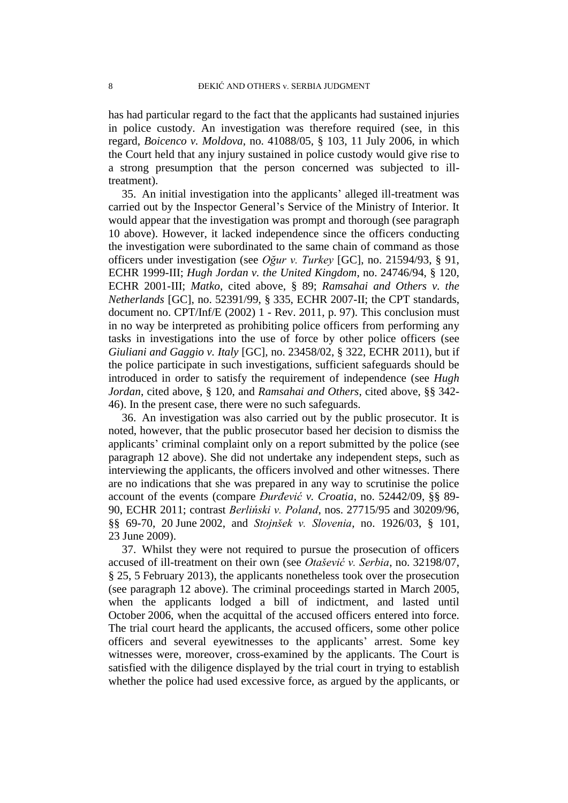has had particular regard to the fact that the applicants had sustained injuries in police custody. An investigation was therefore required (see, in this regard, *Boicenco v. Moldova*, no. 41088/05, § 103, 11 July 2006, in which the Court held that any injury sustained in police custody would give rise to a strong presumption that the person concerned was subjected to illtreatment).

35. An initial investigation into the applicants' alleged ill-treatment was carried out by the Inspector General's Service of the Ministry of Interior. It would appear that the investigation was prompt and thorough (see paragraph 10 above). However, it lacked independence since the officers conducting the investigation were subordinated to the same chain of command as those officers under investigation (see *Oğur v. Turkey* [GC], no. 21594/93, § 91, ECHR 1999-III; *Hugh Jordan v. the United Kingdom*, no. 24746/94, § 120, ECHR 2001-III; *Matko*, cited above, § 89; *Ramsahai and Others v. the Netherlands* [GC], no. 52391/99, § 335, ECHR 2007-II; the CPT standards, document no. CPT/Inf/E (2002) 1 - Rev. 2011, p. 97). This conclusion must in no way be interpreted as prohibiting police officers from performing any tasks in investigations into the use of force by other police officers (see *Giuliani and Gaggio v. Italy* [GC], no. 23458/02, § 322, ECHR 2011), but if the police participate in such investigations, sufficient safeguards should be introduced in order to satisfy the requirement of independence (see *Hugh Jordan*, cited above, § 120, and *Ramsahai and Others*, cited above, §§ 342- 46). In the present case, there were no such safeguards.

36. An investigation was also carried out by the public prosecutor. It is noted, however, that the public prosecutor based her decision to dismiss the applicants' criminal complaint only on a report submitted by the police (see paragraph 12 above). She did not undertake any independent steps, such as interviewing the applicants, the officers involved and other witnesses. There are no indications that she was prepared in any way to scrutinise the police account of the events (compare *Đurđević v. Croatia*, no. 52442/09, §§ 89- 90, ECHR 2011; contrast *Berliński v. Poland*, nos. 27715/95 and 30209/96, §§ 69-70, 20 June 2002, and *Stojnšek v. Slovenia*, no. 1926/03, § 101, 23 June 2009).

37. Whilst they were not required to pursue the prosecution of officers accused of ill-treatment on their own (see *Otašević v. Serbia*, no. 32198/07, § 25, 5 February 2013), the applicants nonetheless took over the prosecution (see paragraph 12 above). The criminal proceedings started in March 2005, when the applicants lodged a bill of indictment, and lasted until October 2006, when the acquittal of the accused officers entered into force. The trial court heard the applicants, the accused officers, some other police officers and several eyewitnesses to the applicants' arrest. Some key witnesses were, moreover, cross-examined by the applicants. The Court is satisfied with the diligence displayed by the trial court in trying to establish whether the police had used excessive force, as argued by the applicants, or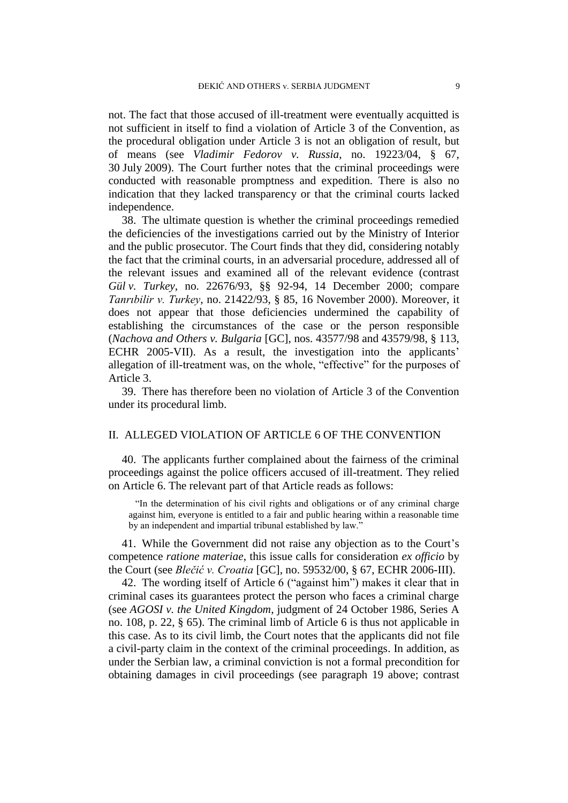not. The fact that those accused of ill-treatment were eventually acquitted is not sufficient in itself to find a violation of Article 3 of the Convention, as the procedural obligation under Article 3 is not an obligation of result, but of means (see *Vladimir Fedorov v. Russia*, no. 19223/04, § 67, 30 July 2009). The Court further notes that the criminal proceedings were conducted with reasonable promptness and expedition. There is also no indication that they lacked transparency or that the criminal courts lacked independence.

<span id="page-10-0"></span>38. The ultimate question is whether the criminal proceedings remedied the deficiencies of the investigations carried out by the Ministry of Interior and the public prosecutor. The Court finds that they did, considering notably the fact that the criminal courts, in an adversarial procedure, addressed all of the relevant issues and examined all of the relevant evidence (contrast *Gül v. Turkey*, no. 22676/93, §§ 92-94, 14 December 2000; compare *Tanrıbilir v. Turkey*, no. 21422/93, § 85, 16 November 2000). Moreover, it does not appear that those deficiencies undermined the capability of establishing the circumstances of the case or the person responsible (*Nachova and Others v. Bulgaria* [GC], nos. 43577/98 and 43579/98, § 113, ECHR 2005-VII). As a result, the investigation into the applicants' allegation of ill-treatment was, on the whole, "effective" for the purposes of Article 3.

39. There has therefore been no violation of Article 3 of the Convention under its procedural limb.

# II. ALLEGED VIOLATION OF ARTICLE 6 OF THE CONVENTION

40. The applicants further complained about the fairness of the criminal proceedings against the police officers accused of ill-treatment. They relied on Article 6. The relevant part of that Article reads as follows:

"In the determination of his civil rights and obligations or of any criminal charge against him, everyone is entitled to a fair and public hearing within a reasonable time by an independent and impartial tribunal established by law."

41. While the Government did not raise any objection as to the Court's competence *ratione materiae*, this issue calls for consideration *ex officio* by the Court (see *Blečić v. Croatia* [GC], no. 59532/00, § 67, ECHR 2006-III).

42. The wording itself of Article 6 ("against him") makes it clear that in criminal cases its guarantees protect the person who faces a criminal charge (see *AGOSI v. the United Kingdom*, judgment of 24 October 1986, Series A no. 108, p. 22, § 65). The criminal limb of Article 6 is thus not applicable in this case. As to its civil limb, the Court notes that the applicants did not file a civil-party claim in the context of the criminal proceedings. In addition, as under the Serbian law, a criminal conviction is not a formal precondition for obtaining damages in civil proceedings (see paragraph [19](#page-5-0) above; contrast